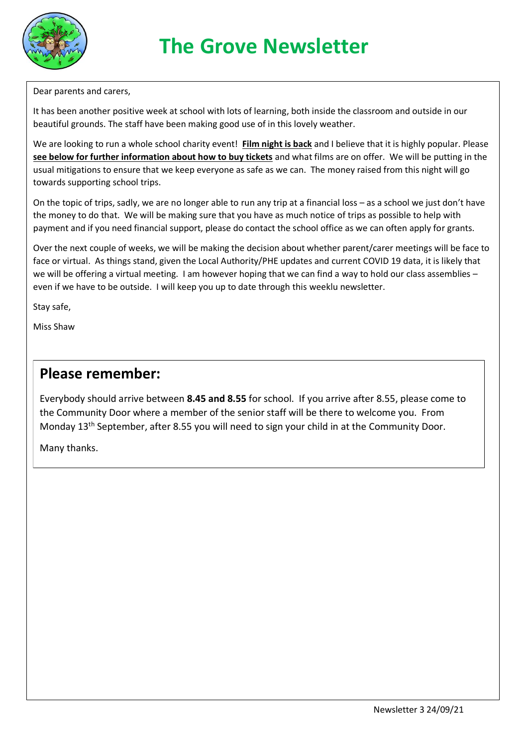

Dear parents and carers,

It has been another positive week at school with lots of learning, both inside the classroom and outside in our beautiful grounds. The staff have been making good use of in this lovely weather.

We are looking to run a whole school charity event! **Film night is back** and I believe that it is highly popular. Please **see below for further information about how to buy tickets** and what films are on offer. We will be putting in the usual mitigations to ensure that we keep everyone as safe as we can. The money raised from this night will go towards supporting school trips.

On the topic of trips, sadly, we are no longer able to run any trip at a financial loss – as a school we just don't have the money to do that. We will be making sure that you have as much notice of trips as possible to help with payment and if you need financial support, please do contact the school office as we can often apply for grants.

Over the next couple of weeks, we will be making the decision about whether parent/carer meetings will be face to face or virtual. As things stand, given the Local Authority/PHE updates and current COVID 19 data, it is likely that we will be offering a virtual meeting. I am however hoping that we can find a way to hold our class assemblies even if we have to be outside. I will keep you up to date through this weeklu newsletter.

Stay safe,

Miss Shaw

#### **Please remember:**

Everybody should arrive between **8.45 and 8.55** for school. If you arrive after 8.55, please come to the Community Door where a member of the senior staff will be there to welcome you. From Monday 13<sup>th</sup> September, after 8.55 you will need to sign your child in at the Community Door.

Many thanks.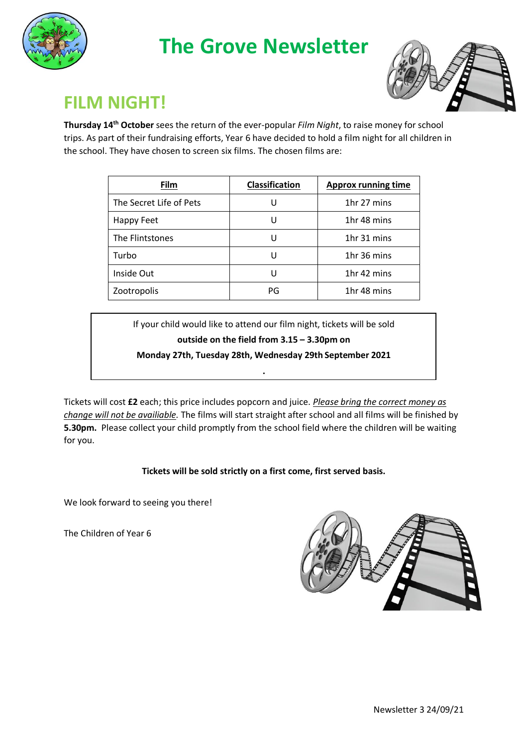## **The Grove Newsletter**





### **FILM NIGHT!**

**Thursday 14th October** sees the return of the ever-popular *Film Night*, to raise money for school trips. As part of their fundraising efforts, Year 6 have decided to hold a film night for all children in the school. They have chosen to screen six films. The chosen films are:

| <b>Film</b>             | <b>Classification</b> | <b>Approx running time</b> |
|-------------------------|-----------------------|----------------------------|
| The Secret Life of Pets |                       | 1hr 27 mins                |
| Happy Feet              |                       | 1hr 48 mins                |
| The Flintstones         |                       | 1hr 31 mins                |
| Turbo                   |                       | 1hr 36 mins                |
| Inside Out              |                       | 1hr 42 mins                |
| Zootropolis             | PG                    | 1hr 48 mins                |

If your child would like to attend our film night, tickets will be sold

**outside on the field from 3.15 – 3.30pm on** 

**Monday 27th, Tuesday 28th, Wednesday 29th September 2021 .**

Tickets will cost **£2** each; this price includes popcorn and juice. *Please bring the correct money as change will not be availiable.* The films will start straight after school and all films will be finished by **5.30pm.** Please collect your child promptly from the school field where the children will be waiting for you.

#### **Tickets will be sold strictly on a first come, first served basis.**

We look forward to seeing you there!

The Children of Year 6